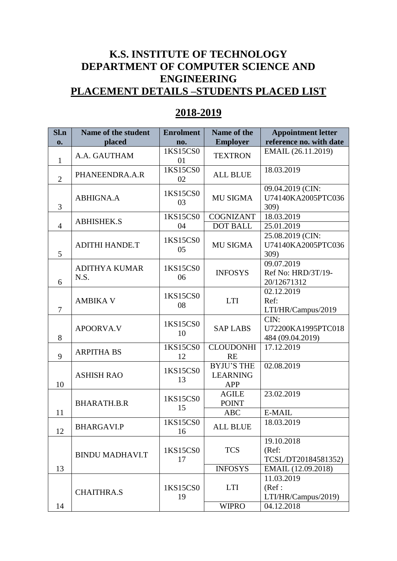## **K.S. INSTITUTE OF TECHNOLOGY DEPARTMENT OF COMPUTER SCIENCE AND ENGINEERING PLACEMENT DETAILS –STUDENTS PLACED LIST**

## **2018-2019**

| S1.n           | Name of the student          | <b>Enrolment</b> | Name of the                                        | <b>Appointment letter</b>                       |
|----------------|------------------------------|------------------|----------------------------------------------------|-------------------------------------------------|
| $\mathbf{0}$ . | placed                       | no.              | <b>Employer</b>                                    | reference no. with date                         |
| $\mathbf{1}$   | A.A. GAUTHAM                 | 1KS15CS0<br>01   | <b>TEXTRON</b>                                     | EMAIL (26.11.2019)                              |
| $\overline{2}$ | PHANEENDRA.A.R               | 1KS15CS0<br>02   | <b>ALL BLUE</b>                                    | 18.03.2019                                      |
| 3              | <b>ABHIGNA.A</b>             | 1KS15CS0<br>03   | <b>MU SIGMA</b>                                    | 09.04.2019 (CIN:<br>U74140KA2005PTC036<br>309)  |
|                | <b>ABHISHEK.S</b>            | 1KS15CS0         | <b>COGNIZANT</b>                                   | 18.03.2019                                      |
| $\overline{4}$ |                              | 04               | <b>DOT BALL</b>                                    | 25.01.2019                                      |
| 5              | <b>ADITHI HANDE.T</b>        | 1KS15CS0<br>05   | <b>MU SIGMA</b>                                    | 25.08.2019 (CIN:<br>U74140KA2005PTC036<br>309)  |
| 6              | <b>ADITHYA KUMAR</b><br>N.S. | 1KS15CS0<br>06   | <b>INFOSYS</b>                                     | 09.07.2019<br>Ref No: HRD/3T/19-<br>20/12671312 |
| 7              | <b>AMBIKA V</b>              | 1KS15CS0<br>08   | <b>LTI</b>                                         | 02.12.2019<br>Ref:<br>LTI/HR/Campus/2019        |
| 8              | <b>APOORVA.V</b>             | 1KS15CS0<br>10   | <b>SAP LABS</b>                                    | CIN:<br>U72200KA1995PTC018<br>484 (09.04.2019)  |
| 9              | <b>ARPITHA BS</b>            | 1KS15CS0<br>12   | <b>CLOUDONHI</b><br><b>RE</b>                      | 17.12.2019                                      |
| 10             | <b>ASHISH RAO</b>            | 1KS15CS0<br>13   | <b>BYJU'S THE</b><br><b>LEARNING</b><br><b>APP</b> | 02.08.2019                                      |
|                | <b>BHARATH.B.R</b>           | 1KS15CS0<br>15   | <b>AGILE</b><br><b>POINT</b>                       | 23.02.2019                                      |
| 11             |                              |                  | <b>ABC</b>                                         | E-MAIL                                          |
| 12             | <b>BHARGAVI.P</b>            | 1KS15CS0<br>16   | <b>ALL BLUE</b>                                    | 18.03.2019                                      |
|                | <b>BINDU MADHAVI.T</b>       | 1KS15CS0<br>17   | <b>TCS</b>                                         | 19.10.2018<br>(Ref:<br>TCSL/DT20184581352)      |
| 13             |                              |                  | <b>INFOSYS</b>                                     | EMAIL (12.09.2018)                              |
|                | <b>CHAITHRA.S</b>            | 1KS15CS0<br>19   | <b>LTI</b>                                         | 11.03.2019<br>(Ref:<br>LTI/HR/Campus/2019)      |
| 14             |                              |                  | <b>WIPRO</b>                                       | 04.12.2018                                      |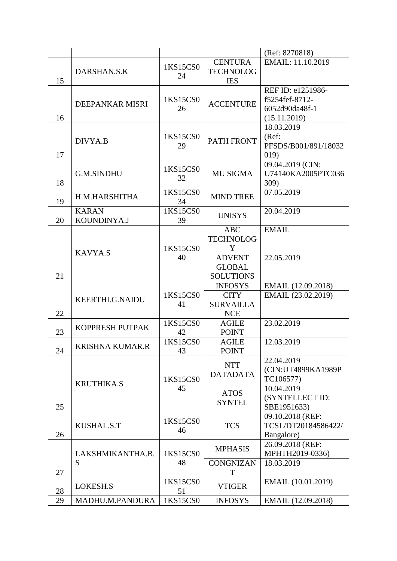|    |                             |                |                                                    | (Ref: 8270818)                                                        |
|----|-----------------------------|----------------|----------------------------------------------------|-----------------------------------------------------------------------|
| 15 | DARSHAN.S.K                 | 1KS15CS0<br>24 | <b>CENTURA</b><br><b>TECHNOLOG</b><br><b>IES</b>   | EMAIL: 11.10.2019                                                     |
| 16 | DEEPANKAR MISRI             | 1KS15CS0<br>26 | <b>ACCENTURE</b>                                   | REF ID: e1251986-<br>f5254fef-8712-<br>6052d90da48f-1<br>(15.11.2019) |
| 17 | DIVYA.B                     | 1KS15CS0<br>29 | PATH FRONT                                         | 18.03.2019<br>(Ref:<br>PFSDS/B001/891/18032<br>019)                   |
| 18 | <b>G.M.SINDHU</b>           | 1KS15CS0<br>32 | <b>MU SIGMA</b>                                    | 09.04.2019 (CIN:<br>U74140KA2005PTC036<br>309)                        |
| 19 | H.M.HARSHITHA               | 1KS15CS0<br>34 | <b>MIND TREE</b>                                   | 07.05.2019                                                            |
| 20 | <b>KARAN</b><br>KOUNDINYA.J | 1KS15CS0<br>39 | <b>UNISYS</b>                                      | 20.04.2019                                                            |
|    |                             | 1KS15CS0       | <b>ABC</b><br><b>TECHNOLOG</b><br>Y                | <b>EMAIL</b>                                                          |
| 21 | <b>KAVYA.S</b>              | 40             | <b>ADVENT</b><br><b>GLOBAL</b><br><b>SOLUTIONS</b> | 22.05.2019                                                            |
|    |                             |                | <b>INFOSYS</b>                                     | EMAIL (12.09.2018)                                                    |
| 22 | KEERTHI.G.NAIDU             | 1KS15CS0<br>41 | <b>CITY</b><br><b>SURVAILLA</b><br><b>NCE</b>      | EMAIL (23.02.2019)                                                    |
| 23 | KOPPRESH PUTPAK             | 1KS15CS0<br>42 | <b>AGILE</b><br><b>POINT</b>                       | 23.02.2019                                                            |
| 24 | <b>KRISHNA KUMAR.R</b>      | 1KS15CS0<br>43 | <b>AGILE</b><br><b>POINT</b>                       | 12.03.2019                                                            |
|    | <b>KRUTHIKA.S</b>           | 1KS15CS0       | <b>NTT</b><br><b>DATADATA</b>                      | 22.04.2019<br>(CIN:UT4899KA1989P<br>TC106577)                         |
| 25 |                             | 45             | <b>ATOS</b><br><b>SYNTEL</b>                       | 10.04.2019<br>(SYNTELLECT ID:<br>SBE1951633)                          |
| 26 | <b>KUSHAL.S.T</b>           | 1KS15CS0<br>46 | <b>TCS</b>                                         | 09.10.2018 (REF:<br>TCSL/DT20184586422/<br>Bangalore)                 |
|    | LAKSHMIKANTHA.B.            | 1KS15CS0       | <b>MPHASIS</b>                                     | 26.09.2018 (REF:<br>MPHTH2019-0336)                                   |
| 27 | S                           | 48             | <b>CONGNIZAN</b><br>T                              | 18.03.2019                                                            |
| 28 | LOKESH.S                    | 1KS15CS0<br>51 | <b>VTIGER</b>                                      | EMAIL (10.01.2019)                                                    |
| 29 | MADHU.M.PANDURA             | 1KS15CS0       | <b>INFOSYS</b>                                     | EMAIL (12.09.2018)                                                    |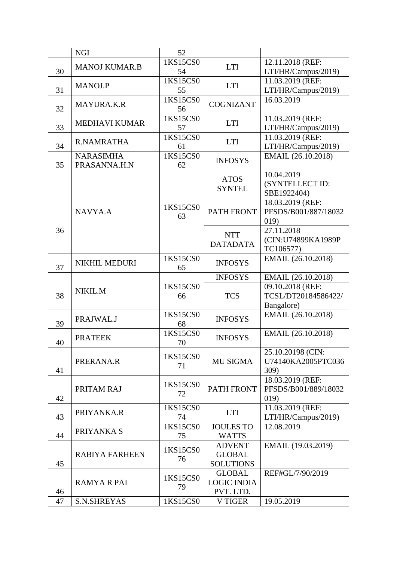|    | <b>NGI</b>            | 52                   |                              |                      |
|----|-----------------------|----------------------|------------------------------|----------------------|
|    | <b>MANOJ KUMAR.B</b>  | 1KS15CS0             | <b>LTI</b>                   | 12.11.2018 (REF:     |
| 30 |                       | 54                   |                              | LTI/HR/Campus/2019)  |
|    |                       | 1KS15CS0             |                              | 11.03.2019 (REF:     |
| 31 | <b>MANOJ.P</b>        | 55                   | <b>LTI</b>                   | LTI/HR/Campus/2019)  |
|    |                       | 1KS15CS0             |                              | 16.03.2019           |
| 32 | <b>MAYURA.K.R</b>     | 56                   | <b>COGNIZANT</b>             |                      |
|    |                       | 1KS15CS0             |                              | 11.03.2019 (REF:     |
|    | <b>MEDHAVI KUMAR</b>  |                      | <b>LTI</b>                   |                      |
| 33 |                       | 57                   |                              | LTI/HR/Campus/2019)  |
|    | R.NAMRATHA            | 1KS15CS0             | <b>LTI</b>                   | 11.03.2019 (REF:     |
| 34 |                       | 61                   |                              | LTI/HR/Campus/2019)  |
|    | <b>NARASIMHA</b>      | 1K <sub>S15CS0</sub> | <b>INFOSYS</b>               | EMAIL (26.10.2018)   |
| 35 | PRASANNA.H.N          | 62                   |                              |                      |
|    |                       |                      | <b>ATOS</b><br><b>SYNTEL</b> | 10.04.2019           |
|    |                       |                      |                              | (SYNTELLECT ID:      |
|    |                       |                      |                              | SBE1922404)          |
|    |                       |                      |                              | 18.03.2019 (REF:     |
|    | NAVYA.A               | 1KS15CS0             | <b>PATH FRONT</b>            | PFSDS/B001/887/18032 |
|    |                       | 63                   |                              |                      |
|    |                       |                      |                              | 019)                 |
| 36 |                       |                      | <b>NTT</b>                   | 27.11.2018           |
|    |                       |                      | <b>DATADATA</b>              | (CIN:U74899KA1989P   |
|    |                       |                      |                              | TC106577)            |
|    | <b>NIKHIL MEDURI</b>  | 1KS15CS0             | <b>INFOSYS</b>               | EMAIL (26.10.2018)   |
| 37 |                       | 65                   |                              |                      |
|    |                       |                      | <b>INFOSYS</b>               | EMAIL (26.10.2018)   |
|    |                       | 1KS15CS0             |                              | 09.10.2018 (REF:     |
| 38 | NIKIL.M               | 66                   | <b>TCS</b>                   | TCSL/DT20184586422/  |
|    |                       |                      |                              | Bangalore)           |
|    |                       | 1KS15CS0             |                              | EMAIL (26.10.2018)   |
| 39 | PRAJWAL.J             | 68                   | <b>INFOSYS</b>               |                      |
|    |                       |                      |                              |                      |
|    | <b>PRATEEK</b>        | <b>IKS15CS0</b>      | <b>INFOSYS</b>               | EMAIL (26.10.2018)   |
| 40 |                       | 70                   |                              |                      |
|    |                       | 1KS15CS0             |                              | 25.10.20198 (CIN:    |
|    | PRERANA.R             | 71                   | <b>MU SIGMA</b>              | U74140KA2005PTC036   |
| 41 |                       |                      |                              | 309)                 |
|    |                       |                      |                              | 18.03.2019 (REF:     |
|    | PRITAM RAJ            | 1KS15CS0             | <b>PATH FRONT</b>            | PFSDS/B001/889/18032 |
| 42 |                       | 72                   |                              | 019)                 |
|    |                       | 1KS15CS0             |                              | 11.03.2019 (REF:     |
| 43 | PRIYANKA.R            | 74                   | <b>LTI</b>                   |                      |
|    |                       |                      |                              | LTI/HR/Campus/2019)  |
|    | PRIYANKA S            | 1KS15CS0             | <b>JOULES TO</b>             | 12.08.2019           |
| 44 |                       | 75                   | <b>WATTS</b>                 |                      |
|    |                       | 1KS15CS0             | <b>ADVENT</b>                | EMAIL (19.03.2019)   |
|    | <b>RABIYA FARHEEN</b> | 76                   | <b>GLOBAL</b>                |                      |
| 45 |                       |                      | <b>SOLUTIONS</b>             |                      |
|    |                       |                      | <b>GLOBAL</b>                | REF#GL/7/90/2019     |
|    | <b>RAMYA R PAI</b>    | 1KS15CS0             | <b>LOGIC INDIA</b>           |                      |
| 46 |                       | 79                   | PVT. LTD.                    |                      |
| 47 | <b>S.N.SHREYAS</b>    | 1KS15CS0             | <b>V TIGER</b>               | 19.05.2019           |
|    |                       |                      |                              |                      |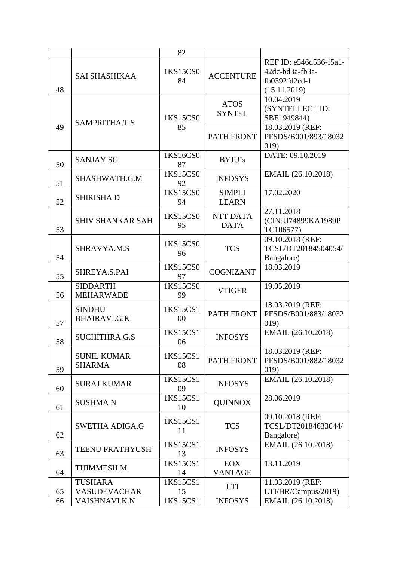|    |                                       | 82             |                                |                                                                            |
|----|---------------------------------------|----------------|--------------------------------|----------------------------------------------------------------------------|
| 48 | <b>SAI SHASHIKAA</b>                  | 1KS15CS0<br>84 | <b>ACCENTURE</b>               | REF ID: e546d536-f5a1-<br>42dc-bd3a-fb3a-<br>fb0392fd2cd-1<br>(15.11.2019) |
|    | SAMPRITHA.T.S                         | 1KS15CS0       | <b>ATOS</b><br><b>SYNTEL</b>   | 10.04.2019<br>(SYNTELLECT ID:<br>SBE1949844)                               |
| 49 |                                       | 85             | <b>PATH FRONT</b>              | 18.03.2019 (REF:<br>PFSDS/B001/893/18032<br>019)                           |
| 50 | <b>SANJAY SG</b>                      | 1KS16CS0<br>87 | BYJU's                         | DATE: 09.10.2019                                                           |
| 51 | SHASHWATH.G.M                         | 1KS15CS0<br>92 | <b>INFOSYS</b>                 | EMAIL (26.10.2018)                                                         |
| 52 | <b>SHIRISHAD</b>                      | 1KS15CS0<br>94 | <b>SIMPLI</b><br><b>LEARN</b>  | 17.02.2020                                                                 |
| 53 | <b>SHIV SHANKAR SAH</b>               | 1KS15CS0<br>95 | <b>NTT DATA</b><br><b>DATA</b> | 27.11.2018<br>(CIN:U74899KA1989P<br>TC106577)                              |
| 54 | SHRAVYA.M.S                           | 1KS15CS0<br>96 | <b>TCS</b>                     | 09.10.2018 (REF:<br>TCSL/DT20184504054/<br>Bangalore)                      |
| 55 | SHREYA.S.PAI                          | 1KS15CS0<br>97 | <b>COGNIZANT</b>               | 18.03.2019                                                                 |
| 56 | <b>SIDDARTH</b><br><b>MEHARWADE</b>   | 1KS15CS0<br>99 | <b>VTIGER</b>                  | 19.05.2019                                                                 |
| 57 | <b>SINDHU</b><br><b>BHAIRAVI.G.K</b>  | 1KS15CS1<br>00 | <b>PATH FRONT</b>              | 18.03.2019 (REF:<br>PFSDS/B001/883/18032<br>019)                           |
| 58 | <b>SUCHITHRA.G.S</b>                  | 1KS15CS1<br>06 | <b>INFOSYS</b>                 | EMAIL (26.10.2018)                                                         |
| 59 | <b>SUNIL KUMAR</b><br><b>SHARMA</b>   | 1KS15CS1<br>08 | PATH FRONT                     | 18.03.2019 (REF:<br>PFSDS/B001/882/18032<br>019)                           |
| 60 | <b>SURAJ KUMAR</b>                    | 1KS15CS1<br>09 | <b>INFOSYS</b>                 | EMAIL (26.10.2018)                                                         |
| 61 | <b>SUSHMAN</b>                        | 1KS15CS1<br>10 | <b>QUINNOX</b>                 | 28.06.2019                                                                 |
| 62 | <b>SWETHA ADIGA.G</b>                 | 1KS15CS1<br>11 | <b>TCS</b>                     | 09.10.2018 (REF:<br>TCSL/DT20184633044/<br>Bangalore)                      |
| 63 | <b>TEENU PRATHYUSH</b>                | 1KS15CS1<br>13 | <b>INFOSYS</b>                 | EMAIL (26.10.2018)                                                         |
| 64 | <b>THIMMESH M</b>                     | 1KS15CS1<br>14 | <b>EOX</b><br><b>VANTAGE</b>   | 13.11.2019                                                                 |
| 65 | <b>TUSHARA</b><br><b>VASUDEVACHAR</b> | 1KS15CS1<br>15 | <b>LTI</b>                     | 11.03.2019 (REF:<br>LTI/HR/Campus/2019)                                    |
| 66 | <b>VAISHNAVI.K.N</b>                  | 1KS15CS1       | <b>INFOSYS</b>                 | EMAIL (26.10.2018)                                                         |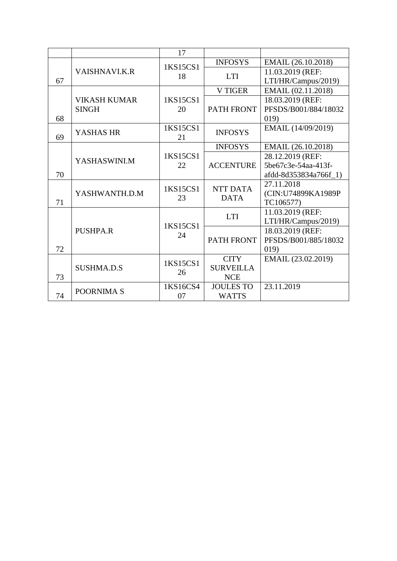|    |                      | 17                      |                                                                                                                                                                                                           |                                                                                                                                                                                                                                        |  |
|----|----------------------|-------------------------|-----------------------------------------------------------------------------------------------------------------------------------------------------------------------------------------------------------|----------------------------------------------------------------------------------------------------------------------------------------------------------------------------------------------------------------------------------------|--|
|    | <b>VAISHNAVI.K.R</b> | 1KS15CS1                | <b>INFOSYS</b><br>EMAIL (26.10.2018)<br>11.03.2019 (REF:<br><b>LTI</b><br>LTI/HR/Campus/2019)<br>EMAIL (02.11.2018)<br><b>V TIGER</b><br>18.03.2019 (REF:<br>019)<br>EMAIL (14/09/2019)<br><b>INFOSYS</b> |                                                                                                                                                                                                                                        |  |
|    |                      | 18                      |                                                                                                                                                                                                           |                                                                                                                                                                                                                                        |  |
| 67 |                      |                         |                                                                                                                                                                                                           |                                                                                                                                                                                                                                        |  |
|    |                      |                         |                                                                                                                                                                                                           |                                                                                                                                                                                                                                        |  |
|    | <b>VIKASH KUMAR</b>  | 1KS15CS1                |                                                                                                                                                                                                           |                                                                                                                                                                                                                                        |  |
|    | <b>SINGH</b>         | <b>PATH FRONT</b><br>20 | PFSDS/B001/884/18032                                                                                                                                                                                      |                                                                                                                                                                                                                                        |  |
| 68 |                      |                         |                                                                                                                                                                                                           |                                                                                                                                                                                                                                        |  |
|    | YASHAS HR            | 1KS15CS1                |                                                                                                                                                                                                           |                                                                                                                                                                                                                                        |  |
| 69 |                      | 21                      |                                                                                                                                                                                                           |                                                                                                                                                                                                                                        |  |
|    |                      |                         | <b>INFOSYS</b>                                                                                                                                                                                            | EMAIL (26.10.2018)                                                                                                                                                                                                                     |  |
|    | YASHASWINI.M         | 1KS15CS1                |                                                                                                                                                                                                           | 28.12.2019 (REF:<br>5be67c3e-54aa-413f-<br>afdd-8d353834a766f_1)<br>27.11.2018<br>(CIN:U74899KA1989P<br>TC106577)<br>11.03.2019 (REF:<br>LTI/HR/Campus/2019)<br>18.03.2019 (REF:<br>PFSDS/B001/885/18032<br>019)<br>EMAIL (23.02.2019) |  |
|    |                      | 22                      | <b>ACCENTURE</b>                                                                                                                                                                                          |                                                                                                                                                                                                                                        |  |
| 70 |                      |                         |                                                                                                                                                                                                           |                                                                                                                                                                                                                                        |  |
|    |                      | 1KS15CS1                |                                                                                                                                                                                                           |                                                                                                                                                                                                                                        |  |
|    | YASHWANTH.D.M        | 23                      |                                                                                                                                                                                                           |                                                                                                                                                                                                                                        |  |
| 71 |                      |                         |                                                                                                                                                                                                           |                                                                                                                                                                                                                                        |  |
|    |                      |                         |                                                                                                                                                                                                           |                                                                                                                                                                                                                                        |  |
|    |                      | 1KS15CS1                |                                                                                                                                                                                                           |                                                                                                                                                                                                                                        |  |
|    | <b>PUSHPA.R</b>      | 24                      |                                                                                                                                                                                                           |                                                                                                                                                                                                                                        |  |
|    |                      |                         | <b>PATH FRONT</b>                                                                                                                                                                                         |                                                                                                                                                                                                                                        |  |
| 72 |                      |                         |                                                                                                                                                                                                           |                                                                                                                                                                                                                                        |  |
|    | <b>SUSHMA.D.S</b>    | 1KS15CS1                | <b>CITY</b>                                                                                                                                                                                               |                                                                                                                                                                                                                                        |  |
|    |                      | 26                      | <b>SURVEILLA</b>                                                                                                                                                                                          |                                                                                                                                                                                                                                        |  |
| 73 |                      |                         | <b>NCE</b>                                                                                                                                                                                                | NTT DATA<br><b>DATA</b><br><b>LTI</b><br>23.11.2019<br><b>WATTS</b>                                                                                                                                                                    |  |
|    | POORNIMA S           | 1KS16CS4                | <b>JOULES TO</b>                                                                                                                                                                                          |                                                                                                                                                                                                                                        |  |
| 74 |                      | 07                      |                                                                                                                                                                                                           |                                                                                                                                                                                                                                        |  |